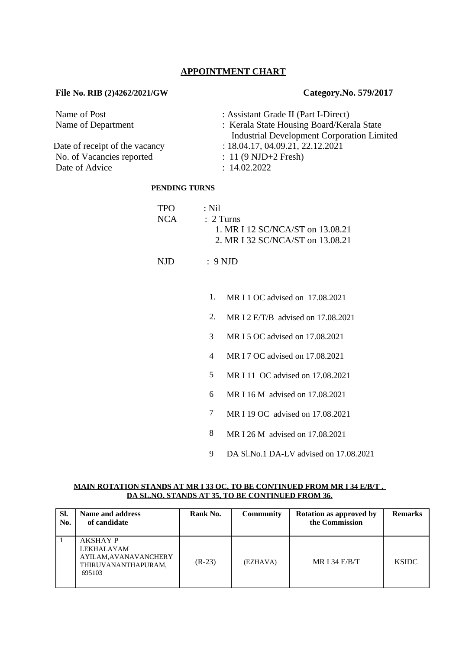# **APPOINTMENT CHART**

## **File No. RIB (2)4262/2021/GW Category.No. 579/2017**

| Name of Post                   | : Assistant Grade II (Part I-Direct)                                                  |
|--------------------------------|---------------------------------------------------------------------------------------|
| Name of Department             | : Kerala State Housing Board/Kerala State                                             |
| Date of receipt of the vacancy | <b>Industrial Development Corporation Limited</b><br>: 18.04.17, 04.09.21, 22.12.2021 |
| No. of Vacancies reported      | $: 11 (9 \text{ NJD} + 2 \text{ Fresh})$                                              |
| Date of Advice                 | : 14.02.2022                                                                          |

#### **PENDING TURNS**

| TPO. |       | → Nil                            |
|------|-------|----------------------------------|
|      | NCA – | $\therefore$ 2 Turns             |
|      |       | 1. MR I 12 SC/NCA/ST on 13.08.21 |
|      |       | 2. MR I 32 SC/NCA/ST on 13.08.21 |
|      |       |                                  |

NJD : 9 NJD

- 1. MR I 1 OC advised on 17.08.2021
- 2. MR I 2 E/T/B advised on 17.08.2021
- 3 MR I 5 OC advised on 17.08.2021
- 4 MR I 7 OC advised on 17.08.2021
- 5 MR I 11 OC advised on 17.08.2021
- 6 MR I 16 M advised on 17.08.2021
- 7 MR I 19 OC advised on 17.08.2021
- 8 MR I 26 M advised on 17.08.2021
- 9 DA Sl.No.1 DA-LV advised on 17.08.2021

#### **MAIN ROTATION STANDS AT MR I 33 OC. TO BE CONTINUED FROM MR I 34 E/B/T . DA SL.NO. STANDS AT 35, TO BE CONTINUED FROM 36.**

| SI.<br>No. | Name and address<br>of candidate                                                        | Rank No. | <b>Community</b> | <b>Rotation as approved by</b><br>the Commission | <b>Remarks</b> |
|------------|-----------------------------------------------------------------------------------------|----------|------------------|--------------------------------------------------|----------------|
|            | <b>AKSHAY P</b><br>LEKHALAYAM<br>AYILAM, AVANAVANCHERY<br>THIRUVANANTHAPURAM,<br>695103 | $(R-23)$ | (EZHAVA)         | MR I 34 $E/B/T$                                  | <b>KSIDC</b>   |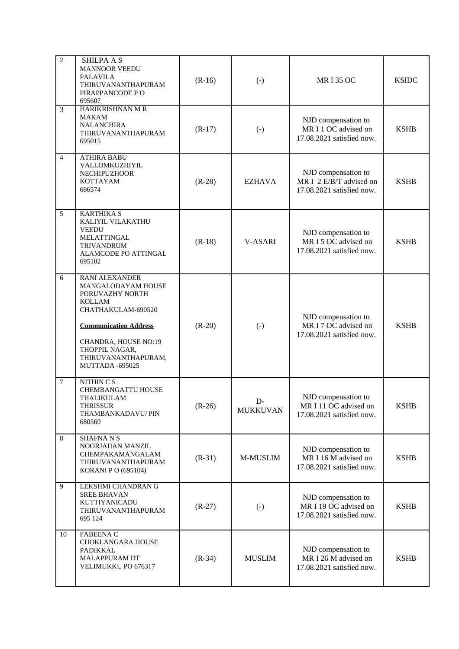| $\overline{2}$ | <b>SHILPA A S</b><br><b>MANNOOR VEEDU</b><br><b>PALAVILA</b><br>THIRUVANANTHAPURAM<br>PIRAPPANCODE PO<br>695607                                                                                                    | $(R-16)$ | $(-)$                  | <b>MRI35 OC</b>                                                             | <b>KSIDC</b> |
|----------------|--------------------------------------------------------------------------------------------------------------------------------------------------------------------------------------------------------------------|----------|------------------------|-----------------------------------------------------------------------------|--------------|
| $\overline{3}$ | HARIKRISHNAN M R<br>MAKAM<br><b>NALANCHIRA</b><br>THIRUVANANTHAPURAM<br>695015                                                                                                                                     | $(R-17)$ | $(-)$                  | NJD compensation to<br>MR I 1 OC advised on<br>17.08.2021 satisfied now.    | <b>KSHB</b>  |
| $\overline{4}$ | <b>ATHIRA BABU</b><br>VALLOMKUZHIYIL<br>NECHIPUZHOOR<br>KOTTAYAM<br>686574                                                                                                                                         | $(R-28)$ | <b>EZHAVA</b>          | NJD compensation to<br>MR I 2 E/B/T advised on<br>17.08.2021 satisfied now. | <b>KSHB</b>  |
| 5              | <b>KARTHIKA S</b><br>KALIYIL VILAKATHU<br><b>VEEDU</b><br><b>MELATTINGAL</b><br><b>TRIVANDRUM</b><br>ALAMCODE PO ATTINGAL<br>695102                                                                                | $(R-18)$ | V-ASARI                | NJD compensation to<br>MR I 5 OC advised on<br>17.08.2021 satisfied now.    | <b>KSHB</b>  |
| 6              | RANI ALEXANDER<br>MANGALODAYAM HOUSE<br>PORUVAZHY NORTH<br><b>KOLLAM</b><br>CHATHAKULAM-690520<br><b>Communication Address</b><br>CHANDRA, HOUSE NO:19<br>THOPPIL NAGAR,<br>THIRUVANANTHAPURAM,<br>MUTTADA -695025 | $(R-20)$ | $(-)$                  | NJD compensation to<br>MR I 7 OC advised on<br>17.08.2021 satisfied now.    | <b>KSHB</b>  |
| $\overline{7}$ | NITHIN C S<br>CHEMBANGATTU HOUSE<br>THALIKULAM<br><b>THRISSUR</b><br>THAMBANKADAVU/ PIN<br>680569                                                                                                                  | $(R-26)$ | D-<br><b>MUKKUVAN</b>  | NJD compensation to<br>MR I 11 OC advised on<br>17.08.2021 satisfied now.   | <b>KSHB</b>  |
| 8              | <b>SHAFNANS</b><br>NOORJAHAN MANZIL<br>CHEMPAKAMANGALAM<br>THIRUVANANTHAPURAM<br><b>KORANI P O (695104)</b>                                                                                                        | $(R-31)$ | M-MUSLIM               | NJD compensation to<br>MR I 16 M advised on<br>17.08.2021 satisfied now.    | <b>KSHB</b>  |
| 9              | LEKSHMI CHANDRAN G<br><b>SREE BHAVAN</b><br>KUTTIYANICADU<br>THIRUVANANTHAPURAM<br>695 124                                                                                                                         | $(R-27)$ | $\left( \cdot \right)$ | NJD compensation to<br>MR I 19 OC advised on<br>17.08.2021 satisfied now.   | <b>KSHB</b>  |
| 10             | <b>FABEENA C</b><br>CHOKLANGARA HOUSE<br><b>PADIKKAL</b><br>MALAPPURAM DT<br>VELIMUKKU PO 676317                                                                                                                   | $(R-34)$ | <b>MUSLIM</b>          | NJD compensation to<br>MR I 26 M advised on<br>17.08.2021 satisfied now.    | <b>KSHB</b>  |